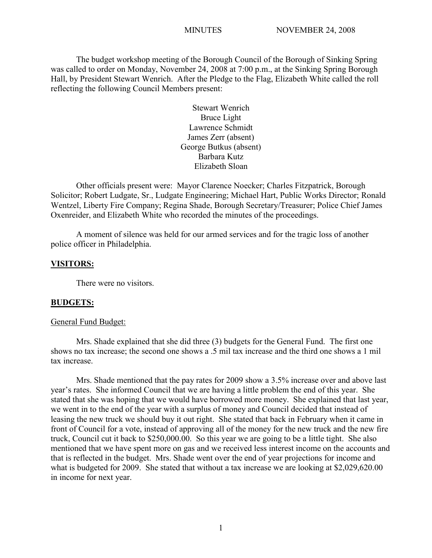The budget workshop meeting of the Borough Council of the Borough of Sinking Spring was called to order on Monday, November 24, 2008 at 7:00 p.m., at the Sinking Spring Borough Hall, by President Stewart Wenrich. After the Pledge to the Flag, Elizabeth White called the roll reflecting the following Council Members present:

> Stewart Wenrich Bruce Light Lawrence Schmidt James Zerr (absent) George Butkus (absent) Barbara Kutz Elizabeth Sloan

Other officials present were: Mayor Clarence Noecker; Charles Fitzpatrick, Borough Solicitor; Robert Ludgate, Sr., Ludgate Engineering; Michael Hart, Public Works Director; Ronald Wentzel, Liberty Fire Company; Regina Shade, Borough Secretary/Treasurer; Police Chief James Oxenreider, and Elizabeth White who recorded the minutes of the proceedings.

A moment of silence was held for our armed services and for the tragic loss of another police officer in Philadelphia.

## **VISITORS:**

There were no visitors.

#### **BUDGETS:**

#### General Fund Budget:

Mrs. Shade explained that she did three (3) budgets for the General Fund. The first one shows no tax increase; the second one shows a .5 mil tax increase and the third one shows a 1 mil tax increase.

Mrs. Shade mentioned that the pay rates for 2009 show a 3.5% increase over and above last year's rates. She informed Council that we are having a little problem the end of this year. She stated that she was hoping that we would have borrowed more money. She explained that last year, we went in to the end of the year with a surplus of money and Council decided that instead of leasing the new truck we should buy it out right. She stated that back in February when it came in front of Council for a vote, instead of approving all of the money for the new truck and the new fire truck, Council cut it back to \$250,000.00. So this year we are going to be a little tight. She also mentioned that we have spent more on gas and we received less interest income on the accounts and that is reflected in the budget. Mrs. Shade went over the end of year projections for income and what is budgeted for 2009. She stated that without a tax increase we are looking at \$2,029,620.00 in income for next year.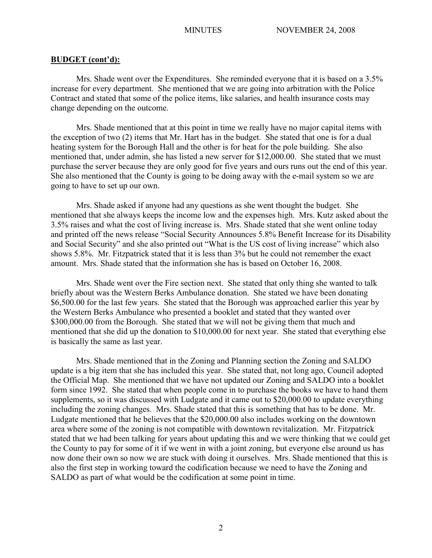## **BUDGET (cont'd):**

Mrs. Shade went over the Expenditures. She reminded everyone that it is based on a 3.5% increase for every department. She mentioned that we are going into arbitration with the Police Contract and stated that some of the police items, like salaries, and health insurance costs may change depending on the outcome.

Mrs. Shade mentioned that at this point in time we really have no major capital items with the exception of two (2) items that Mr. Hart has in the budget. She stated that one is for a dual heating system for the Borough Hall and the other is for heat for the pole building. She also mentioned that, under admin, she has listed a new server for \$12,000.00. She stated that we must purchase the server because they are only good for five years and ours runs out the end of this year. She also mentioned that the County is going to be doing away with the e-mail system so we are going to have to set up our own.

Mrs. Shade asked if anyone had any questions as she went thought the budget. She mentioned that she always keeps the income low and the expenses high. Mrs. Kutz asked about the 3.5% raises and what the cost of living increase is. Mrs. Shade stated that she went online today and printed off the news release "Social Security Announces 5.8% Benefit Increase for its Disability and Social Security" and she also printed out "What is the US cost of living increase" which also shows 5.8%. Mr. Fitzpatrick stated that it is less than 3% but he could not remember the exact amount. Mrs. Shade stated that the information she has is based on October 16, 2008.

Mrs. Shade went over the Fire section next. She stated that only thing she wanted to talk briefly about was the Western Berks Ambulance donation. She stated we have been donating \$6,500.00 for the last few years. She stated that the Borough was approached earlier this year by the Western Berks Ambulance who presented a booklet and stated that they wanted over \$300,000.00 from the Borough. She stated that we will not be giving them that much and mentioned that she did up the donation to \$10,000.00 for next year. She stated that everything else is basically the same as last year.

Mrs. Shade mentioned that in the Zoning and Planning section the Zoning and SALDO update is a big item that she has included this year. She stated that, not long ago, Council adopted the Official Map. She mentioned that we have not updated our Zoning and SALDO into a booklet form since 1992. She stated that when people come in to purchase the books we have to hand them supplements, so it was discussed with Ludgate and it came out to \$20,000.00 to update everything including the zoning changes. Mrs. Shade stated that this is something that has to be done. Mr. Ludgate mentioned that he believes that the \$20,000.00 also includes working on the downtown area where some of the zoning is not compatible with downtown revitalization. Mr. Fitzpatrick stated that we had been talking for years about updating this and we were thinking that we could get the County to pay for some of it if we went in with a joint zoning, but everyone else around us has now done their own so now we are stuck with doing it ourselves. Mrs. Shade mentioned that this is also the first step in working toward the codification because we need to have the Zoning and SALDO as part of what would be the codification at some point in time.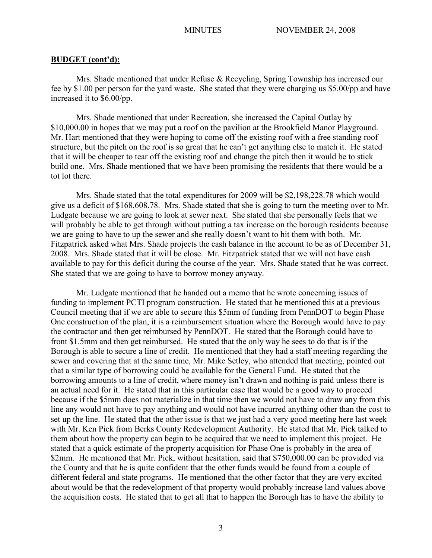## **BUDGET (cont'd):**

Mrs. Shade mentioned that under Refuse & Recycling, Spring Township has increased our fee by \$1.00 per person for the yard waste. She stated that they were charging us \$5.00/pp and have increased it to \$6.00/pp.

Mrs. Shade mentioned that under Recreation, she increased the Capital Outlay by \$10,000.00 in hopes that we may put a roof on the pavilion at the Brookfield Manor Playground. Mr. Hart mentioned that they were hoping to come off the existing roof with a free standing roof structure, but the pitch on the roof is so great that he can't get anything else to match it. He stated that it will be cheaper to tear off the existing roof and change the pitch then it would be to stick build one. Mrs. Shade mentioned that we have been promising the residents that there would be a tot lot there.

Mrs. Shade stated that the total expenditures for 2009 will be \$2,198,228.78 which would give us a deficit of \$168,608.78. Mrs. Shade stated that she is going to turn the meeting over to Mr. Ludgate because we are going to look at sewer next. She stated that she personally feels that we will probably be able to get through without putting a tax increase on the borough residents because we are going to have to up the sewer and she really doesn't want to hit them with both. Mr. Fitzpatrick asked what Mrs. Shade projects the cash balance in the account to be as of December 31, 2008. Mrs. Shade stated that it will be close. Mr. Fitzpatrick stated that we will not have cash available to pay for this deficit during the course of the year. Mrs. Shade stated that he was correct. She stated that we are going to have to borrow money anyway.

Mr. Ludgate mentioned that he handed out a memo that he wrote concerning issues of funding to implement PCTI program construction. He stated that he mentioned this at a previous Council meeting that if we are able to secure this \$5mm of funding from PennDOT to begin Phase One construction of the plan, it is a reimbursement situation where the Borough would have to pay the contractor and then get reimbursed by PennDOT. He stated that the Borough could have to front \$1.5mm and then get reimbursed. He stated that the only way he sees to do that is if the Borough is able to secure a line of credit. He mentioned that they had a staff meeting regarding the sewer and covering that at the same time, Mr. Mike Setley, who attended that meeting, pointed out that a similar type of borrowing could be available for the General Fund. He stated that the borrowing amounts to a line of credit, where money isn't drawn and nothing is paid unless there is an actual need for it. He stated that in this particular case that would be a good way to proceed because if the \$5mm does not materialize in that time then we would not have to draw any from this line any would not have to pay anything and would not have incurred anything other than the cost to set up the line. He stated that the other issue is that we just had a very good meeting here last week with Mr. Ken Pick from Berks County Redevelopment Authority. He stated that Mr. Pick talked to them about how the property can begin to be acquired that we need to implement this project. He stated that a quick estimate of the property acquisition for Phase One is probably in the area of \$2mm. He mentioned that Mr. Pick, without hesitation, said that \$750,000.00 can be provided via the County and that he is quite confident that the other funds would be found from a couple of different federal and state programs. He mentioned that the other factor that they are very excited about would be that the redevelopment of that property would probably increase land values above the acquisition costs. He stated that to get all that to happen the Borough has to have the ability to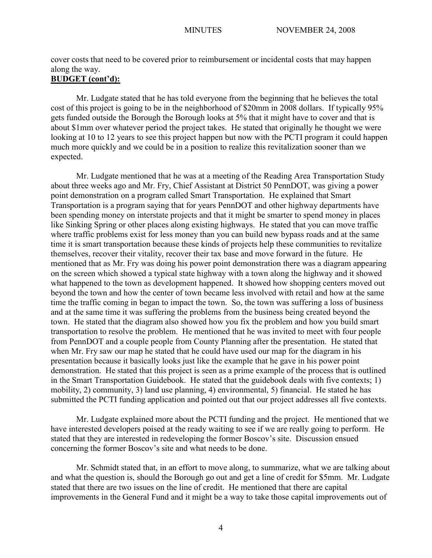cover costs that need to be covered prior to reimbursement or incidental costs that may happen along the way.

# **BUDGET (cont'd):**

Mr. Ludgate stated that he has told everyone from the beginning that he believes the total cost of this project is going to be in the neighborhood of \$20mm in 2008 dollars. If typically 95% gets funded outside the Borough the Borough looks at 5% that it might have to cover and that is about \$1mm over whatever period the project takes. He stated that originally he thought we were looking at 10 to 12 years to see this project happen but now with the PCTI program it could happen much more quickly and we could be in a position to realize this revitalization sooner than we expected.

Mr. Ludgate mentioned that he was at a meeting of the Reading Area Transportation Study about three weeks ago and Mr. Fry, Chief Assistant at District 50 PennDOT, was giving a power point demonstration on a program called Smart Transportation. He explained that Smart Transportation is a program saying that for years PennDOT and other highway departments have been spending money on interstate projects and that it might be smarter to spend money in places like Sinking Spring or other places along existing highways. He stated that you can move traffic where traffic problems exist for less money than you can build new bypass roads and at the same time it is smart transportation because these kinds of projects help these communities to revitalize themselves, recover their vitality, recover their tax base and move forward in the future. He mentioned that as Mr. Fry was doing his power point demonstration there was a diagram appearing on the screen which showed a typical state highway with a town along the highway and it showed what happened to the town as development happened. It showed how shopping centers moved out beyond the town and how the center of town became less involved with retail and how at the same time the traffic coming in began to impact the town. So, the town was suffering a loss of business and at the same time it was suffering the problems from the business being created beyond the town. He stated that the diagram also showed how you fix the problem and how you build smart transportation to resolve the problem. He mentioned that he was invited to meet with four people from PennDOT and a couple people from County Planning after the presentation. He stated that when Mr. Fry saw our map he stated that he could have used our map for the diagram in his presentation because it basically looks just like the example that he gave in his power point demonstration. He stated that this project is seen as a prime example of the process that is outlined in the Smart Transportation Guidebook. He stated that the guidebook deals with five contexts; 1) mobility, 2) community, 3) land use planning, 4) environmental, 5) financial. He stated he has submitted the PCTI funding application and pointed out that our project addresses all five contexts.

Mr. Ludgate explained more about the PCTI funding and the project. He mentioned that we have interested developers poised at the ready waiting to see if we are really going to perform. He stated that they are interested in redeveloping the former Boscov's site. Discussion ensued concerning the former Boscov's site and what needs to be done.

Mr. Schmidt stated that, in an effort to move along, to summarize, what we are talking about and what the question is, should the Borough go out and get a line of credit for \$5mm. Mr. Ludgate stated that there are two issues on the line of credit. He mentioned that there are capital improvements in the General Fund and it might be a way to take those capital improvements out of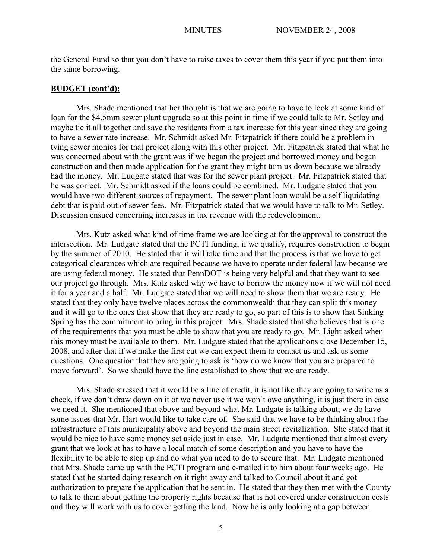the General Fund so that you don't have to raise taxes to cover them this year if you put them into the same borrowing.

## **BUDGET (cont'd):**

Mrs. Shade mentioned that her thought is that we are going to have to look at some kind of loan for the \$4.5mm sewer plant upgrade so at this point in time if we could talk to Mr. Setley and maybe tie it all together and save the residents from a tax increase for this year since they are going to have a sewer rate increase. Mr. Schmidt asked Mr. Fitzpatrick if there could be a problem in tying sewer monies for that project along with this other project. Mr. Fitzpatrick stated that what he was concerned about with the grant was if we began the project and borrowed money and began construction and then made application for the grant they might turn us down because we already had the money. Mr. Ludgate stated that was for the sewer plant project. Mr. Fitzpatrick stated that he was correct. Mr. Schmidt asked if the loans could be combined. Mr. Ludgate stated that you would have two different sources of repayment. The sewer plant loan would be a self liquidating debt that is paid out of sewer fees. Mr. Fitzpatrick stated that we would have to talk to Mr. Setley. Discussion ensued concerning increases in tax revenue with the redevelopment.

Mrs. Kutz asked what kind of time frame we are looking at for the approval to construct the intersection. Mr. Ludgate stated that the PCTI funding, if we qualify, requires construction to begin by the summer of 2010. He stated that it will take time and that the process is that we have to get categorical clearances which are required because we have to operate under federal law because we are using federal money. He stated that PennDOT is being very helpful and that they want to see our project go through. Mrs. Kutz asked why we have to borrow the money now if we will not need it for a year and a half. Mr. Ludgate stated that we will need to show them that we are ready. He stated that they only have twelve places across the commonwealth that they can split this money and it will go to the ones that show that they are ready to go, so part of this is to show that Sinking Spring has the commitment to bring in this project. Mrs. Shade stated that she believes that is one of the requirements that you must be able to show that you are ready to go. Mr. Light asked when this money must be available to them. Mr. Ludgate stated that the applications close December 15, 2008, and after that if we make the first cut we can expect them to contact us and ask us some questions. One question that they are going to ask is 'how do we know that you are prepared to move forward'. So we should have the line established to show that we are ready.

Mrs. Shade stressed that it would be a line of credit, it is not like they are going to write us a check, if we don't draw down on it or we never use it we won't owe anything, it is just there in case we need it. She mentioned that above and beyond what Mr. Ludgate is talking about, we do have some issues that Mr. Hart would like to take care of. She said that we have to be thinking about the infrastructure of this municipality above and beyond the main street revitalization. She stated that it would be nice to have some money set aside just in case. Mr. Ludgate mentioned that almost every grant that we look at has to have a local match of some description and you have to have the flexibility to be able to step up and do what you need to do to secure that. Mr. Ludgate mentioned that Mrs. Shade came up with the PCTI program and e-mailed it to him about four weeks ago. He stated that he started doing research on it right away and talked to Council about it and got authorization to prepare the application that he sent in. He stated that they then met with the County to talk to them about getting the property rights because that is not covered under construction costs and they will work with us to cover getting the land. Now he is only looking at a gap between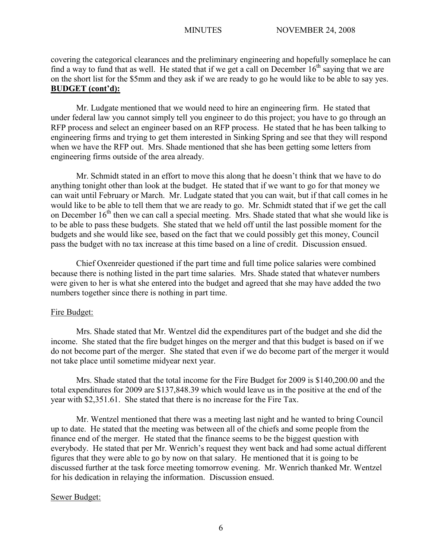covering the categorical clearances and the preliminary engineering and hopefully someplace he can find a way to fund that as well. He stated that if we get a call on December  $16<sup>th</sup>$  saying that we are on the short list for the \$5mm and they ask if we are ready to go he would like to be able to say yes. **BUDGET (cont'd):**

Mr. Ludgate mentioned that we would need to hire an engineering firm. He stated that under federal law you cannot simply tell you engineer to do this project; you have to go through an RFP process and select an engineer based on an RFP process. He stated that he has been talking to engineering firms and trying to get them interested in Sinking Spring and see that they will respond when we have the RFP out. Mrs. Shade mentioned that she has been getting some letters from engineering firms outside of the area already.

Mr. Schmidt stated in an effort to move this along that he doesn't think that we have to do anything tonight other than look at the budget. He stated that if we want to go for that money we can wait until February or March. Mr. Ludgate stated that you can wait, but if that call comes in he would like to be able to tell them that we are ready to go. Mr. Schmidt stated that if we get the call on December  $16<sup>th</sup>$  then we can call a special meeting. Mrs. Shade stated that what she would like is to be able to pass these budgets. She stated that we held off until the last possible moment for the budgets and she would like see, based on the fact that we could possibly get this money, Council pass the budget with no tax increase at this time based on a line of credit. Discussion ensued.

Chief Oxenreider questioned if the part time and full time police salaries were combined because there is nothing listed in the part time salaries. Mrs. Shade stated that whatever numbers were given to her is what she entered into the budget and agreed that she may have added the two numbers together since there is nothing in part time.

# Fire Budget:

Mrs. Shade stated that Mr. Wentzel did the expenditures part of the budget and she did the income. She stated that the fire budget hinges on the merger and that this budget is based on if we do not become part of the merger. She stated that even if we do become part of the merger it would not take place until sometime midyear next year.

Mrs. Shade stated that the total income for the Fire Budget for 2009 is \$140,200.00 and the total expenditures for 2009 are \$137,848.39 which would leave us in the positive at the end of the year with \$2,351.61. She stated that there is no increase for the Fire Tax.

Mr. Wentzel mentioned that there was a meeting last night and he wanted to bring Council up to date. He stated that the meeting was between all of the chiefs and some people from the finance end of the merger. He stated that the finance seems to be the biggest question with everybody. He stated that per Mr. Wenrich's request they went back and had some actual different figures that they were able to go by now on that salary. He mentioned that it is going to be discussed further at the task force meeting tomorrow evening. Mr. Wenrich thanked Mr. Wentzel for his dedication in relaying the information. Discussion ensued.

## Sewer Budget: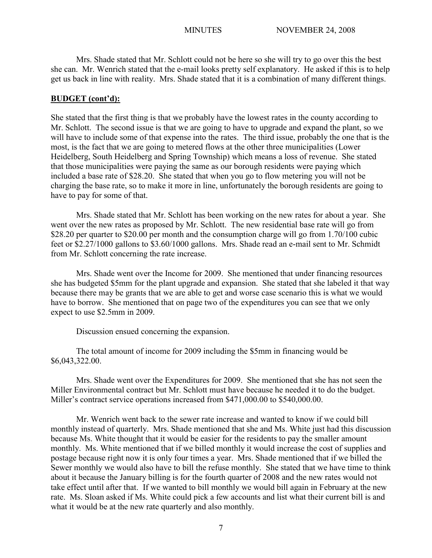Mrs. Shade stated that Mr. Schlott could not be here so she will try to go over this the best she can. Mr. Wenrich stated that the e-mail looks pretty self explanatory. He asked if this is to help get us back in line with reality. Mrs. Shade stated that it is a combination of many different things.

## **BUDGET (cont'd):**

She stated that the first thing is that we probably have the lowest rates in the county according to Mr. Schlott. The second issue is that we are going to have to upgrade and expand the plant, so we will have to include some of that expense into the rates. The third issue, probably the one that is the most, is the fact that we are going to metered flows at the other three municipalities (Lower Heidelberg, South Heidelberg and Spring Township) which means a loss of revenue. She stated that those municipalities were paying the same as our borough residents were paying which included a base rate of \$28.20. She stated that when you go to flow metering you will not be charging the base rate, so to make it more in line, unfortunately the borough residents are going to have to pay for some of that.

Mrs. Shade stated that Mr. Schlott has been working on the new rates for about a year. She went over the new rates as proposed by Mr. Schlott. The new residential base rate will go from \$28.20 per quarter to \$20.00 per month and the consumption charge will go from 1.70/100 cubic feet or \$2.27/1000 gallons to \$3.60/1000 gallons. Mrs. Shade read an e-mail sent to Mr. Schmidt from Mr. Schlott concerning the rate increase.

Mrs. Shade went over the Income for 2009. She mentioned that under financing resources she has budgeted \$5mm for the plant upgrade and expansion. She stated that she labeled it that way because there may be grants that we are able to get and worse case scenario this is what we would have to borrow. She mentioned that on page two of the expenditures you can see that we only expect to use \$2.5mm in 2009.

Discussion ensued concerning the expansion.

The total amount of income for 2009 including the \$5mm in financing would be \$6,043,322.00.

Mrs. Shade went over the Expenditures for 2009. She mentioned that she has not seen the Miller Environmental contract but Mr. Schlott must have because he needed it to do the budget. Miller's contract service operations increased from \$471,000.00 to \$540,000.00.

Mr. Wenrich went back to the sewer rate increase and wanted to know if we could bill monthly instead of quarterly. Mrs. Shade mentioned that she and Ms. White just had this discussion because Ms. White thought that it would be easier for the residents to pay the smaller amount monthly. Ms. White mentioned that if we billed monthly it would increase the cost of supplies and postage because right now it is only four times a year. Mrs. Shade mentioned that if we billed the Sewer monthly we would also have to bill the refuse monthly. She stated that we have time to think about it because the January billing is for the fourth quarter of 2008 and the new rates would not take effect until after that. If we wanted to bill monthly we would bill again in February at the new rate. Ms. Sloan asked if Ms. White could pick a few accounts and list what their current bill is and what it would be at the new rate quarterly and also monthly.